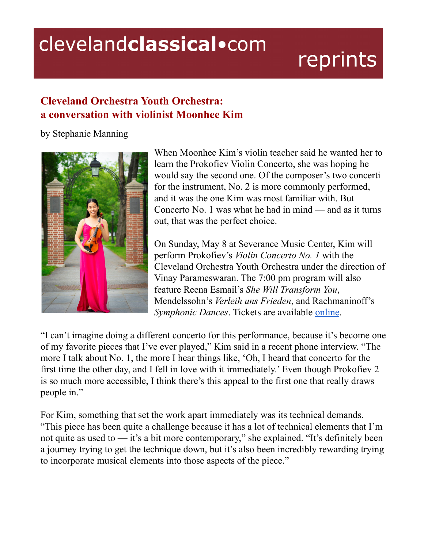## clevelandclassical.com

## reprints

## **Cleveland Orchestra Youth Orchestra: a conversation with violinist Moonhee Kim**

by Stephanie Manning



When Moonhee Kim's violin teacher said he wanted her to learn the Prokofiev Violin Concerto, she was hoping he would say the second one. Of the composer's two concerti for the instrument, No. 2 is more commonly performed, and it was the one Kim was most familiar with. But Concerto No. 1 was what he had in mind — and as it turns out, that was the perfect choice.

On Sunday, May 8 at Severance Music Center, Kim will perform Prokofiev's *Violin Concerto No. 1* with the Cleveland Orchestra Youth Orchestra under the direction of Vinay Parameswaran. The 7:00 pm program will also feature Reena Esmail's *She Will Transform You*, Mendelssohn's *Verleih uns Frieden*, and Rachmaninoff's *Symphonic Dances*. Tickets are available [online](https://www.clevelandorchestra.com/attend/concerts-and-events/2122/coyo/2022-05-08-spring-concert/).

"I can't imagine doing a different concerto for this performance, because it's become one of my favorite pieces that I've ever played," Kim said in a recent phone interview. "The more I talk about No. 1, the more I hear things like, 'Oh, I heard that concerto for the first time the other day, and I fell in love with it immediately.' Even though Prokofiev 2 is so much more accessible, I think there's this appeal to the first one that really draws people in."

For Kim, something that set the work apart immediately was its technical demands. "This piece has been quite a challenge because it has a lot of technical elements that I'm not quite as used to — it's a bit more contemporary," she explained. "It's definitely been a journey trying to get the technique down, but it's also been incredibly rewarding trying to incorporate musical elements into those aspects of the piece."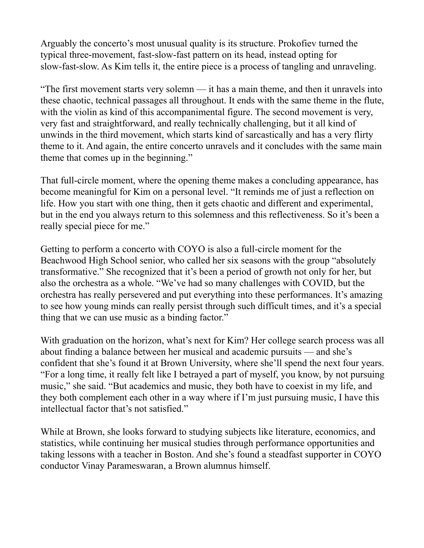Arguably the concerto's most unusual quality is its structure. Prokofiev turned the typical three-movement, fast-slow-fast pattern on its head, instead opting for slow-fast-slow. As Kim tells it, the entire piece is a process of tangling and unraveling.

"The first movement starts very solemn — it has a main theme, and then it unravels into these chaotic, technical passages all throughout. It ends with the same theme in the flute, with the violin as kind of this accompanimental figure. The second movement is very, very fast and straightforward, and really technically challenging, but it all kind of unwinds in the third movement, which starts kind of sarcastically and has a very flirty theme to it. And again, the entire concerto unravels and it concludes with the same main theme that comes up in the beginning."

That full-circle moment, where the opening theme makes a concluding appearance, has become meaningful for Kim on a personal level. "It reminds me of just a reflection on life. How you start with one thing, then it gets chaotic and different and experimental, but in the end you always return to this solemness and this reflectiveness. So it's been a really special piece for me."

Getting to perform a concerto with COYO is also a full-circle moment for the Beachwood High School senior, who called her six seasons with the group "absolutely transformative." She recognized that it's been a period of growth not only for her, but also the orchestra as a whole. "We've had so many challenges with COVID, but the orchestra has really persevered and put everything into these performances. It's amazing to see how young minds can really persist through such difficult times, and it's a special thing that we can use music as a binding factor."

With graduation on the horizon, what's next for Kim? Her college search process was all about finding a balance between her musical and academic pursuits — and she's confident that she's found it at Brown University, where she'll spend the next four years. "For a long time, it really felt like I betrayed a part of myself, you know, by not pursuing music," she said. "But academics and music, they both have to coexist in my life, and they both complement each other in a way where if I'm just pursuing music, I have this intellectual factor that's not satisfied."

While at Brown, she looks forward to studying subjects like literature, economics, and statistics, while continuing her musical studies through performance opportunities and taking lessons with a teacher in Boston. And she's found a steadfast supporter in COYO conductor Vinay Parameswaran, a Brown alumnus himself.